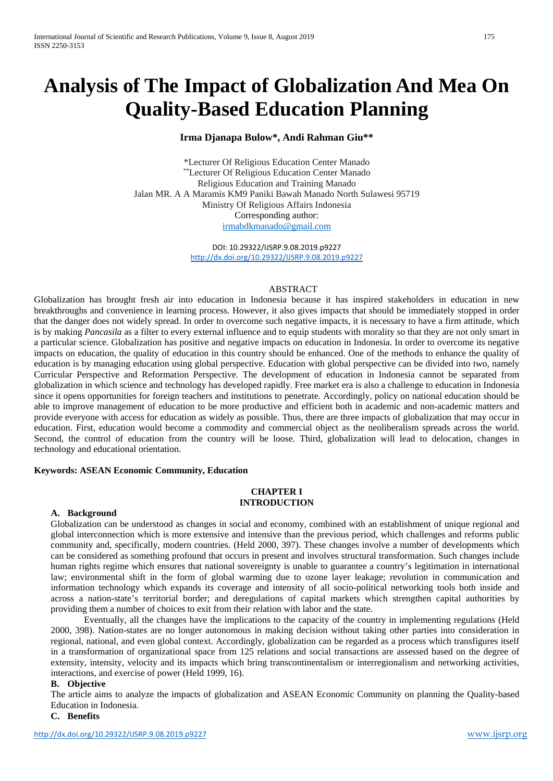# **Analysis of The Impact of Globalization And Mea On Quality-Based Education Planning**

## **Irma Djanapa Bulow\*, Andi Rahman Giu\*\***

\*Lecturer Of Religious Education Center Manado \*\*Lecturer Of Religious Education Center Manado Religious Education and Training Manado Jalan MR. A A Maramis KM9 Paniki Bawah Manado North Sulawesi 95719 Ministry Of Religious Affairs Indonesia Corresponding author: [irmabdkmanado@gmail.com](mailto:irmabdkmanado@gmail.com)

> DOI: 10.29322/IJSRP.9.08.2019.p9227 <http://dx.doi.org/10.29322/IJSRP.9.08.2019.p9227>

## ABSTRACT

Globalization has brought fresh air into education in Indonesia because it has inspired stakeholders in education in new breakthroughs and convenience in learning process. However, it also gives impacts that should be immediately stopped in order that the danger does not widely spread. In order to overcome such negative impacts, it is necessary to have a firm attitude, which is by making *Pancasila* as a filter to every external influence and to equip students with morality so that they are not only smart in a particular science. Globalization has positive and negative impacts on education in Indonesia. In order to overcome its negative impacts on education, the quality of education in this country should be enhanced. One of the methods to enhance the quality of education is by managing education using global perspective. Education with global perspective can be divided into two, namely Curricular Perspective and Reformation Perspective. The development of education in Indonesia cannot be separated from globalization in which science and technology has developed rapidly. Free market era is also a challenge to education in Indonesia since it opens opportunities for foreign teachers and institutions to penetrate. Accordingly, policy on national education should be able to improve management of education to be more productive and efficient both in academic and non-academic matters and provide everyone with access for education as widely as possible. Thus, there are three impacts of globalization that may occur in education. First, education would become a commodity and commercial object as the neoliberalism spreads across the world. Second, the control of education from the country will be loose. Third, globalization will lead to delocation, changes in technology and educational orientation.

## **Keywords: ASEAN Economic Community, Education**

## **CHAPTER I INTRODUCTION**

## **A. Background**

Globalization can be understood as changes in social and economy, combined with an establishment of unique regional and global interconnection which is more extensive and intensive than the previous period, which challenges and reforms public community and, specifically, modern countries. (Held 2000, 397). These changes involve a number of developments which can be considered as something profound that occurs in present and involves structural transformation. Such changes include human rights regime which ensures that national sovereignty is unable to guarantee a country's legitimation in international law; environmental shift in the form of global warming due to ozone layer leakage; revolution in communication and information technology which expands its coverage and intensity of all socio-political networking tools both inside and across a nation-state's territorial border; and deregulations of capital markets which strengthen capital authorities by providing them a number of choices to exit from their relation with labor and the state.

Eventually, all the changes have the implications to the capacity of the country in implementing regulations (Held 2000, 398). Nation-states are no longer autonomous in making decision without taking other parties into consideration in regional, national, and even global context. Accordingly, globalization can be regarded as a process which transfigures itself in a transformation of organizational space from 125 relations and social transactions are assessed based on the degree of extensity, intensity, velocity and its impacts which bring transcontinentalism or interregionalism and networking activities, interactions, and exercise of power (Held 1999, 16).

## **B. Objective**

The article aims to analyze the impacts of globalization and ASEAN Economic Community on planning the Quality-based Education in Indonesia.

## **C. Benefits**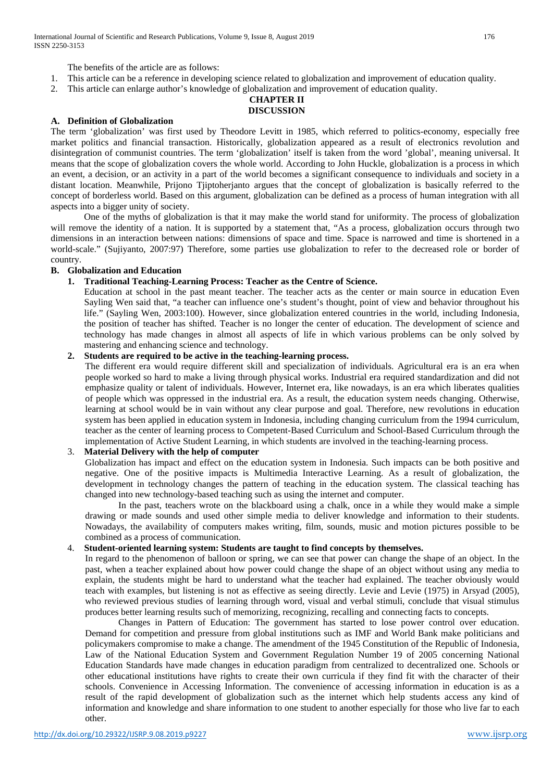The benefits of the article are as follows:

- 1. This article can be a reference in developing science related to globalization and improvement of education quality.
- 2. This article can enlarge author's knowledge of globalization and improvement of education quality.

### **CHAPTER II DISCUSSION**

## **A. Definition of Globalization**

The term 'globalization' was first used by Theodore Levitt in 1985, which referred to politics-economy, especially free market politics and financial transaction. Historically, globalization appeared as a result of electronics revolution and disintegration of communist countries. The term 'globalization' itself is taken from the word 'global', meaning universal. It means that the scope of globalization covers the whole world. According to John Huckle, globalization is a process in which an event, a decision, or an activity in a part of the world becomes a significant consequence to individuals and society in a distant location. Meanwhile, Prijono Tjiptoherjanto argues that the concept of globalization is basically referred to the concept of borderless world. Based on this argument, globalization can be defined as a process of human integration with all aspects into a bigger unity of society.

One of the myths of globalization is that it may make the world stand for uniformity. The process of globalization will remove the identity of a nation. It is supported by a statement that, "As a process, globalization occurs through two dimensions in an interaction between nations: dimensions of space and time. Space is narrowed and time is shortened in a world-scale." (Sujiyanto, 2007:97) Therefore, some parties use globalization to refer to the decreased role or border of country.

#### **B. Globalization and Education**

## **1. Traditional Teaching-Learning Process: Teacher as the Centre of Science.**

Education at school in the past meant teacher. The teacher acts as the center or main source in education Even Sayling Wen said that, "a teacher can influence one's student's thought, point of view and behavior throughout his life." (Sayling Wen, 2003:100). However, since globalization entered countries in the world, including Indonesia, the position of teacher has shifted. Teacher is no longer the center of education. The development of science and technology has made changes in almost all aspects of life in which various problems can be only solved by mastering and enhancing science and technology.

#### **2. Students are required to be active in the teaching-learning process.**

The different era would require different skill and specialization of individuals. Agricultural era is an era when people worked so hard to make a living through physical works. Industrial era required standardization and did not emphasize quality or talent of individuals. However, Internet era, like nowadays, is an era which liberates qualities of people which was oppressed in the industrial era. As a result, the education system needs changing. Otherwise, learning at school would be in vain without any clear purpose and goal. Therefore, new revolutions in education system has been applied in education system in Indonesia, including changing curriculum from the 1994 curriculum, teacher as the center of learning process to Competent-Based Curriculum and School-Based Curriculum through the implementation of Active Student Learning, in which students are involved in the teaching-learning process.

## 3. **Material Delivery with the help of computer**

Globalization has impact and effect on the education system in Indonesia. Such impacts can be both positive and negative. One of the positive impacts is Multimedia Interactive Learning. As a result of globalization, the development in technology changes the pattern of teaching in the education system. The classical teaching has changed into new technology-based teaching such as using the internet and computer.

In the past, teachers wrote on the blackboard using a chalk, once in a while they would make a simple drawing or made sounds and used other simple media to deliver knowledge and information to their students. Nowadays, the availability of computers makes writing, film, sounds, music and motion pictures possible to be combined as a process of communication.

#### 4. **Student-oriented learning system: Students are taught to find concepts by themselves.**

In regard to the phenomenon of balloon or spring, we can see that power can change the shape of an object. In the past, when a teacher explained about how power could change the shape of an object without using any media to explain, the students might be hard to understand what the teacher had explained. The teacher obviously would teach with examples, but listening is not as effective as seeing directly. Levie and Levie (1975) in Arsyad (2005), who reviewed previous studies of learning through word, visual and verbal stimuli, conclude that visual stimulus produces better learning results such of memorizing, recognizing, recalling and connecting facts to concepts.

Changes in Pattern of Education: The government has started to lose power control over education. Demand for competition and pressure from global institutions such as IMF and World Bank make politicians and policymakers compromise to make a change. The amendment of the 1945 Constitution of the Republic of Indonesia, Law of the National Education System and Government Regulation Number 19 of 2005 concerning National Education Standards have made changes in education paradigm from centralized to decentralized one. Schools or other educational institutions have rights to create their own curricula if they find fit with the character of their schools. Convenience in Accessing Information. The convenience of accessing information in education is as a result of the rapid development of globalization such as the internet which help students access any kind of information and knowledge and share information to one student to another especially for those who live far to each other.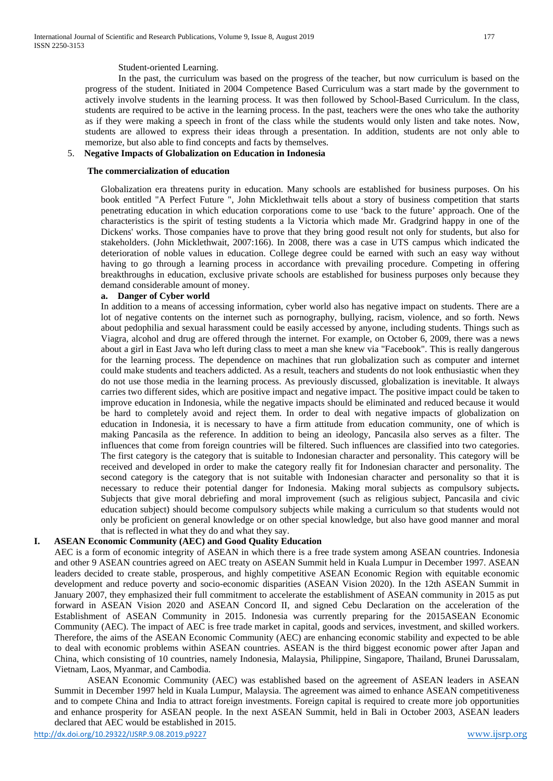#### Student-oriented Learning.

In the past, the curriculum was based on the progress of the teacher, but now curriculum is based on the progress of the student. Initiated in 2004 Competence Based Curriculum was a start made by the government to actively involve students in the learning process. It was then followed by School-Based Curriculum. In the class, students are required to be active in the learning process. In the past, teachers were the ones who take the authority as if they were making a speech in front of the class while the students would only listen and take notes. Now, students are allowed to express their ideas through a presentation. In addition, students are not only able to memorize, but also able to find concepts and facts by themselves.

#### 5. **Negative Impacts of Globalization on Education in Indonesia**

#### **The commercialization of education**

Globalization era threatens purity in education. Many schools are established for business purposes. On his book entitled "A Perfect Future ", John Micklethwait tells about a story of business competition that starts penetrating education in which education corporations come to use 'back to the future' approach. One of the characteristics is the spirit of testing students a la Victoria which made Mr. Gradgrind happy in one of the Dickens' works. Those companies have to prove that they bring good result not only for students, but also for stakeholders. (John Micklethwait, 2007:166). In 2008, there was a case in UTS campus which indicated the deterioration of noble values in education. College degree could be earned with such an easy way without having to go through a learning process in accordance with prevailing procedure. Competing in offering breakthroughs in education, exclusive private schools are established for business purposes only because they demand considerable amount of money.

#### **a. Danger of Cyber world**

In addition to a means of accessing information, cyber world also has negative impact on students. There are a lot of negative contents on the internet such as pornography, bullying, racism, violence, and so forth. News about pedophilia and sexual harassment could be easily accessed by anyone, including students. Things such as Viagra, alcohol and drug are offered through the internet. For example, on October 6, 2009, there was a news about a girl in East Java who left during class to meet a man she knew via "Facebook". This is really dangerous for the learning process. The dependence on machines that run globalization such as computer and internet could make students and teachers addicted. As a result, teachers and students do not look enthusiastic when they do not use those media in the learning process. As previously discussed, globalization is inevitable. It always carries two different sides, which are positive impact and negative impact. The positive impact could be taken to improve education in Indonesia, while the negative impacts should be eliminated and reduced because it would be hard to completely avoid and reject them. In order to deal with negative impacts of globalization on education in Indonesia, it is necessary to have a firm attitude from education community, one of which is making Pancasila as the reference. In addition to being an ideology, Pancasila also serves as a filter. The influences that come from foreign countries will be filtered. Such influences are classified into two categories. The first category is the category that is suitable to Indonesian character and personality. This category will be received and developed in order to make the category really fit for Indonesian character and personality. The second category is the category that is not suitable with Indonesian character and personality so that it is necessary to reduce their potential danger for Indonesia. Making moral subjects as compulsory subjects**.**  Subjects that give moral debriefing and moral improvement (such as religious subject, Pancasila and civic education subject) should become compulsory subjects while making a curriculum so that students would not only be proficient on general knowledge or on other special knowledge, but also have good manner and moral that is reflected in what they do and what they say.

#### **I. ASEAN Economic Community (AEC) and Good Quality Education**

AEC is a form of economic integrity of ASEAN in which there is a free trade system among ASEAN countries. Indonesia and other 9 ASEAN countries agreed on AEC treaty on ASEAN Summit held in Kuala Lumpur in December 1997. ASEAN leaders decided to create stable, prosperous, and highly competitive ASEAN Economic Region with equitable economic development and reduce poverty and socio-economic disparities (ASEAN Vision 2020). In the 12th ASEAN Summit in January 2007, they emphasized their full commitment to accelerate the establishment of ASEAN community in 2015 as put forward in ASEAN Vision 2020 and ASEAN Concord II, and signed Cebu Declaration on the acceleration of the Establishment of ASEAN Community in 2015. Indonesia was currently preparing for the 2015ASEAN Economic Community (AEC). The impact of AEC is free trade market in capital, goods and services, investment, and skilled workers. Therefore, the aims of the ASEAN Economic Community (AEC) are enhancing economic stability and expected to be able to deal with economic problems within ASEAN countries. ASEAN is the third biggest economic power after Japan and China, which consisting of 10 countries, namely Indonesia, Malaysia, Philippine, Singapore, Thailand, Brunei Darussalam, Vietnam, Laos, Myanmar, and Cambodia.

ASEAN Economic Community (AEC) was established based on the agreement of ASEAN leaders in ASEAN Summit in December 1997 held in Kuala Lumpur, Malaysia. The agreement was aimed to enhance ASEAN competitiveness and to compete China and India to attract foreign investments. Foreign capital is required to create more job opportunities and enhance prosperity for ASEAN people. In the next ASEAN Summit, held in Bali in October 2003, ASEAN leaders declared that AEC would be established in 2015.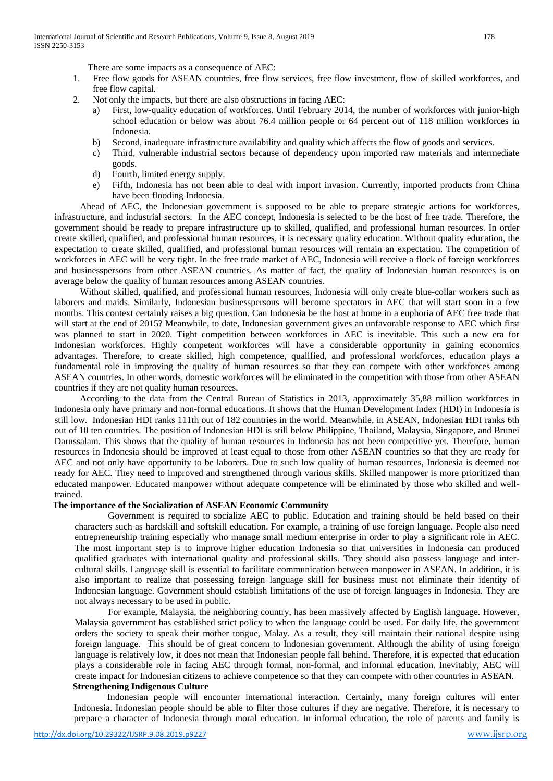There are some impacts as a consequence of AEC:

- 1. Free flow goods for ASEAN countries, free flow services, free flow investment, flow of skilled workforces, and free flow capital.
- 2. Not only the impacts, but there are also obstructions in facing AEC:
	- a) First, low-quality education of workforces. Until February 2014, the number of workforces with junior-high school education or below was about 76.4 million people or 64 percent out of 118 million workforces in Indonesia.
	- b) Second, inadequate infrastructure availability and quality which affects the flow of goods and services.
	- c) Third, vulnerable industrial sectors because of dependency upon imported raw materials and intermediate goods.
	- d) Fourth, limited energy supply.
	- e) Fifth, Indonesia has not been able to deal with import invasion. Currently, imported products from China have been flooding Indonesia.

Ahead of AEC, the Indonesian government is supposed to be able to prepare strategic actions for workforces, infrastructure, and industrial sectors. In the AEC concept, Indonesia is selected to be the host of free trade. Therefore, the government should be ready to prepare infrastructure up to skilled, qualified, and professional human resources. In order create skilled, qualified, and professional human resources, it is necessary quality education. Without quality education, the expectation to create skilled, qualified, and professional human resources will remain an expectation. The competition of workforces in AEC will be very tight. In the free trade market of AEC, Indonesia will receive a flock of foreign workforces and businesspersons from other ASEAN countries. As matter of fact, the quality of Indonesian human resources is on average below the quality of human resources among ASEAN countries.

Without skilled, qualified, and professional human resources, Indonesia will only create blue-collar workers such as laborers and maids. Similarly, Indonesian businesspersons will become spectators in AEC that will start soon in a few months. This context certainly raises a big question. Can Indonesia be the host at home in a euphoria of AEC free trade that will start at the end of 2015? Meanwhile, to date, Indonesian government gives an unfavorable response to AEC which first was planned to start in 2020. Tight competition between workforces in AEC is inevitable. This such a new era for Indonesian workforces. Highly competent workforces will have a considerable opportunity in gaining economics advantages. Therefore, to create skilled, high competence, qualified, and professional workforces, education plays a fundamental role in improving the quality of human resources so that they can compete with other workforces among ASEAN countries. In other words, domestic workforces will be eliminated in the competition with those from other ASEAN countries if they are not quality human resources.

According to the data from the Central Bureau of Statistics in 2013, approximately 35,88 million workforces in Indonesia only have primary and non-formal educations. It shows that the Human Development Index (HDI) in Indonesia is still low. Indonesian HDI ranks 111th out of 182 countries in the world. Meanwhile, in ASEAN, Indonesian HDI ranks 6th out of 10 ten countries. The position of Indonesian HDI is still below Philippine, Thailand, Malaysia, Singapore, and Brunei Darussalam. This shows that the quality of human resources in Indonesia has not been competitive yet. Therefore, human resources in Indonesia should be improved at least equal to those from other ASEAN countries so that they are ready for AEC and not only have opportunity to be laborers. Due to such low quality of human resources, Indonesia is deemed not ready for AEC. They need to improved and strengthened through various skills. Skilled manpower is more prioritized than educated manpower. Educated manpower without adequate competence will be eliminated by those who skilled and welltrained.

## **The importance of the Socialization of ASEAN Economic Community**

Government is required to socialize AEC to public. Education and training should be held based on their characters such as hardskill and softskill education. For example, a training of use foreign language. People also need entrepreneurship training especially who manage small medium enterprise in order to play a significant role in AEC. The most important step is to improve higher education Indonesia so that universities in Indonesia can produced qualified graduates with international quality and professional skills. They should also possess language and intercultural skills. Language skill is essential to facilitate communication between manpower in ASEAN. In addition, it is also important to realize that possessing foreign language skill for business must not eliminate their identity of Indonesian language. Government should establish limitations of the use of foreign languages in Indonesia. They are not always necessary to be used in public.

For example, Malaysia, the neighboring country, has been massively affected by English language. However, Malaysia government has established strict policy to when the language could be used. For daily life, the government orders the society to speak their mother tongue, Malay. As a result, they still maintain their national despite using foreign language. This should be of great concern to Indonesian government. Although the ability of using foreign language is relatively low, it does not mean that Indonesian people fall behind. Therefore, it is expected that education plays a considerable role in facing AEC through formal, non-formal, and informal education. Inevitably, AEC will create impact for Indonesian citizens to achieve competence so that they can compete with other countries in ASEAN. **Strengthening Indigenous Culture**

Indonesian people will encounter international interaction. Certainly, many foreign cultures will enter Indonesia. Indonesian people should be able to filter those cultures if they are negative. Therefore, it is necessary to prepare a character of Indonesia through moral education. In informal education, the role of parents and family is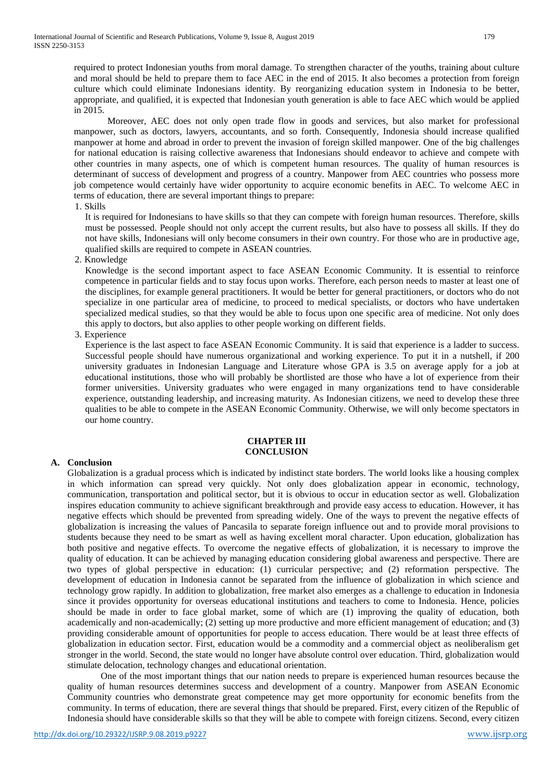required to protect Indonesian youths from moral damage. To strengthen character of the youths, training about culture and moral should be held to prepare them to face AEC in the end of 2015. It also becomes a protection from foreign culture which could eliminate Indonesians identity. By reorganizing education system in Indonesia to be better, appropriate, and qualified, it is expected that Indonesian youth generation is able to face AEC which would be applied in 2015.

Moreover, AEC does not only open trade flow in goods and services, but also market for professional manpower, such as doctors, lawyers, accountants, and so forth. Consequently, Indonesia should increase qualified manpower at home and abroad in order to prevent the invasion of foreign skilled manpower. One of the big challenges for national education is raising collective awareness that Indonesians should endeavor to achieve and compete with other countries in many aspects, one of which is competent human resources. The quality of human resources is determinant of success of development and progress of a country. Manpower from AEC countries who possess more job competence would certainly have wider opportunity to acquire economic benefits in AEC. To welcome AEC in terms of education, there are several important things to prepare:

1. Skills

It is required for Indonesians to have skills so that they can compete with foreign human resources. Therefore, skills must be possessed. People should not only accept the current results, but also have to possess all skills. If they do not have skills, Indonesians will only become consumers in their own country. For those who are in productive age, qualified skills are required to compete in ASEAN countries.

2. Knowledge

Knowledge is the second important aspect to face ASEAN Economic Community. It is essential to reinforce competence in particular fields and to stay focus upon works. Therefore, each person needs to master at least one of the disciplines, for example general practitioners. It would be better for general practitioners, or doctors who do not specialize in one particular area of medicine, to proceed to medical specialists, or doctors who have undertaken specialized medical studies, so that they would be able to focus upon one specific area of medicine. Not only does this apply to doctors, but also applies to other people working on different fields.

3. Experience

Experience is the last aspect to face ASEAN Economic Community. It is said that experience is a ladder to success. Successful people should have numerous organizational and working experience. To put it in a nutshell, if 200 university graduates in Indonesian Language and Literature whose GPA is 3.5 on average apply for a job at educational institutions, those who will probably be shortlisted are those who have a lot of experience from their former universities. University graduates who were engaged in many organizations tend to have considerable experience, outstanding leadership, and increasing maturity. As Indonesian citizens, we need to develop these three qualities to be able to compete in the ASEAN Economic Community. Otherwise, we will only become spectators in our home country.

#### **CHAPTER III CONCLUSION**

## **A. Conclusion**

Globalization is a gradual process which is indicated by indistinct state borders. The world looks like a housing complex in which information can spread very quickly. Not only does globalization appear in economic, technology, communication, transportation and political sector, but it is obvious to occur in education sector as well. Globalization inspires education community to achieve significant breakthrough and provide easy access to education. However, it has negative effects which should be prevented from spreading widely. One of the ways to prevent the negative effects of globalization is increasing the values of Pancasila to separate foreign influence out and to provide moral provisions to students because they need to be smart as well as having excellent moral character. Upon education, globalization has both positive and negative effects. To overcome the negative effects of globalization, it is necessary to improve the quality of education. It can be achieved by managing education considering global awareness and perspective. There are two types of global perspective in education: (1) curricular perspective; and (2) reformation perspective. The development of education in Indonesia cannot be separated from the influence of globalization in which science and technology grow rapidly. In addition to globalization, free market also emerges as a challenge to education in Indonesia since it provides opportunity for overseas educational institutions and teachers to come to Indonesia. Hence, policies should be made in order to face global market, some of which are (1) improving the quality of education, both academically and non-academically; (2) setting up more productive and more efficient management of education; and (3) providing considerable amount of opportunities for people to access education. There would be at least three effects of globalization in education sector. First, education would be a commodity and a commercial object as neoliberalism get stronger in the world. Second, the state would no longer have absolute control over education. Third, globalization would stimulate delocation, technology changes and educational orientation.

One of the most important things that our nation needs to prepare is experienced human resources because the quality of human resources determines success and development of a country. Manpower from ASEAN Economic Community countries who demonstrate great competence may get more opportunity for economic benefits from the community. In terms of education, there are several things that should be prepared. First, every citizen of the Republic of Indonesia should have considerable skills so that they will be able to compete with foreign citizens. Second, every citizen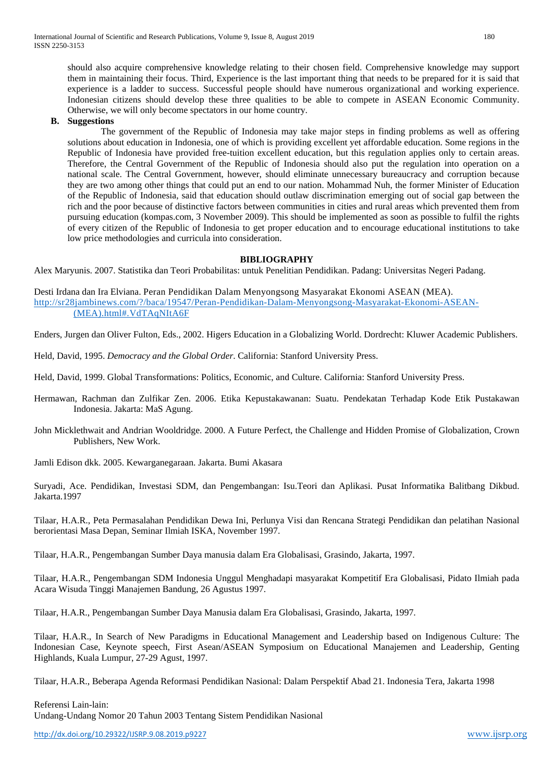should also acquire comprehensive knowledge relating to their chosen field. Comprehensive knowledge may support them in maintaining their focus. Third, Experience is the last important thing that needs to be prepared for it is said that experience is a ladder to success. Successful people should have numerous organizational and working experience. Indonesian citizens should develop these three qualities to be able to compete in ASEAN Economic Community. Otherwise, we will only become spectators in our home country.

## **B. Suggestions**

The government of the Republic of Indonesia may take major steps in finding problems as well as offering solutions about education in Indonesia, one of which is providing excellent yet affordable education. Some regions in the Republic of Indonesia have provided free-tuition excellent education, but this regulation applies only to certain areas. Therefore, the Central Government of the Republic of Indonesia should also put the regulation into operation on a national scale. The Central Government, however, should eliminate unnecessary bureaucracy and corruption because they are two among other things that could put an end to our nation. Mohammad Nuh, the former Minister of Education of the Republic of Indonesia, said that education should outlaw discrimination emerging out of social gap between the rich and the poor because of distinctive factors between communities in cities and rural areas which prevented them from pursuing education (kompas.com, 3 November 2009). This should be implemented as soon as possible to fulfil the rights of every citizen of the Republic of Indonesia to get proper education and to encourage educational institutions to take low price methodologies and curricula into consideration.

#### **BIBLIOGRAPHY**

Alex Maryunis. 2007. Statistika dan Teori Probabilitas: untuk Penelitian Pendidikan. Padang: Universitas Negeri Padang.

Desti Irdana dan Ira Elviana. Peran Pendidikan Dalam Menyongsong Masyarakat Ekonomi ASEAN (MEA). [http://sr28jambinews.com/?/baca/19547/Peran-Pendidikan-Dalam-Menyongsong-Masyarakat-Ekonomi-ASEAN-](http://sr28jambinews.com/?/baca/19547/Peran-Pendidikan-Dalam-Menyongsong-Masyarakat-Ekonomi-ASEAN-(MEA).html#.VdTAqNItA6F) [\(MEA\).html#.VdTAqNItA6F](http://sr28jambinews.com/?/baca/19547/Peran-Pendidikan-Dalam-Menyongsong-Masyarakat-Ekonomi-ASEAN-(MEA).html#.VdTAqNItA6F)

Enders, Jurgen dan Oliver Fulton, Eds., 2002. Higers Education in a Globalizing World. Dordrecht: Kluwer Academic Publishers.

Held, David, 1995. *Democracy and the Global Order*. California: Stanford University Press.

Held, David, 1999. Global Transformations: Politics, Economic, and Culture. California: Stanford University Press.

Hermawan, Rachman dan Zulfikar Zen. 2006. Etika Kepustakawanan: Suatu. Pendekatan Terhadap Kode Etik Pustakawan Indonesia. Jakarta: MaS Agung.

John Micklethwait and Andrian Wooldridge. 2000. A Future Perfect, the Challenge and Hidden Promise of Globalization, Crown Publishers, New Work.

Jamli Edison dkk. 2005. Kewarganegaraan. Jakarta. Bumi Akasara

Suryadi, Ace. Pendidikan, Investasi SDM, dan Pengembangan: Isu.Teori dan Aplikasi. Pusat Informatika Balitbang Dikbud. Jakarta.1997

Tilaar, H.A.R., Peta Permasalahan Pendidikan Dewa Ini, Perlunya Visi dan Rencana Strategi Pendidikan dan pelatihan Nasional berorientasi Masa Depan, Seminar Ilmiah ISKA, November 1997.

Tilaar, H.A.R., Pengembangan Sumber Daya manusia dalam Era Globalisasi, Grasindo, Jakarta, 1997.

Tilaar, H.A.R., Pengembangan SDM Indonesia Unggul Menghadapi masyarakat Kompetitif Era Globalisasi, Pidato Ilmiah pada Acara Wisuda Tinggi Manajemen Bandung, 26 Agustus 1997.

Tilaar, H.A.R., Pengembangan Sumber Daya Manusia dalam Era Globalisasi, Grasindo, Jakarta, 1997.

Tilaar, H.A.R., In Search of New Paradigms in Educational Management and Leadership based on Indigenous Culture: The Indonesian Case, Keynote speech, First Asean/ASEAN Symposium on Educational Manajemen and Leadership, Genting Highlands, Kuala Lumpur, 27-29 Agust, 1997.

Tilaar, H.A.R., Beberapa Agenda Reformasi Pendidikan Nasional: Dalam Perspektif Abad 21. Indonesia Tera, Jakarta 1998

Referensi Lain-lain: Undang-Undang Nomor 20 Tahun 2003 Tentang Sistem Pendidikan Nasional